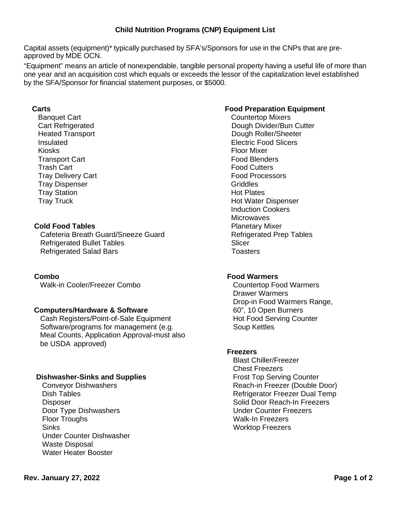## **Child Nutrition Programs (CNP) Equipment List**

Capital assets (equipment)\* typically purchased by SFA's/Sponsors for use in the CNPs that are preapproved by MDE OCN.

"Equipment" means an article of nonexpendable, tangible personal property having a useful life of more than one year and an acquisition cost which equals or exceeds the lessor of the capitalization level established by the SFA/Sponsor for financial statement purposes, or \$5000.

Kiosks **Floor Mixer Transport Cart** Food Blenders **Food Blenders Trash Cart** Food Cutters Tray Delivery Cart **Food Processors** Tray Dispenser Griddles Tray Station **Hot Plates Hot Plates** 

### **Cold Food Tables Cold Food Tables Planetary Mixer**

**Cafeteria Breath Guard/Sneeze Guard Refrigerated Prep Tables** Refrigerated Bullet Tables<br>Refrigerated Salad Bars Slicer Schwarzer Slicer<br>Schieden Salad Bars Schwarzer Schwarzer Schwarzer Schwarzer Schwarzer Schwarzer Schwarzer Schwarzer Schwarzer Refrigerated Salad Bars

**Combo Combo Food Warmers**<br>
Walk-in Cooler/Freezer Combo **Food Warmers** Countertop Food Warmers **Walk-in Cooler/Freezer Combo** 

### **Computers/Hardware & Software**  60", 10 Open Burners

**Cash Registers/Point-of-Sale Equipment Food Serving Counter** Software/programs for management (e.g. Soup Kettles Meal Counts, Application Approval-must also be USDA approved)

### **Dishwasher-Sinks and Supplies Figure 1** Frost Top Serving Counter

Door Type Dishwashers Note and The Under Counter Freezers Floor Troughs **Matter Struck Controller Struck Controller Walk-In Freezers**  Sinks Worktop Freezers Under Counter Dishwasher Waste Disposal Water Heater Booster

### **Carts Food Preparation Equipment**

Banquet Cart Countertop Mixers Countertop Mixers Cart Refrigerated Dough Divider/Bun Cutter Heated Transport Dough Roller/Sheeter Insulated Electric Food Slicers Tray Truck **Hot Water Dispenser Hot Water Dispenser** Induction Cookers **Microwaves** 

Drawer Warmers Drop-in Food Warmers Range,

### **Freezers**

Blast Chiller/Freezer Chest Freezers **Conveyor Dishwashers** *Conveyor Dishwashers* **Reach-in Freezer (Double Door)**<br> **Refrigerator Freezer Dual Temp** Refrigerator Freezer Dual Temp Disposer Solid Door Reach-In Freezers